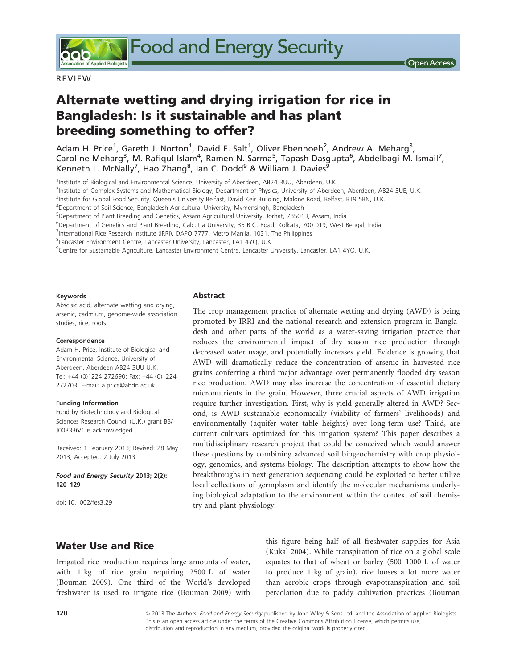

**Food and Energy Security** 

# Alternate wetting and drying irrigation for rice in Bangladesh: Is it sustainable and has plant breeding something to offer?

Adam H. Price<sup>1</sup>, Gareth J. Norton<sup>1</sup>, David E. Salt<sup>1</sup>, Oliver Ebenhoeh<sup>2</sup>, Andrew A. Meharg<sup>3</sup>, Caroline Meharg<sup>3</sup>, M. Rafiqul Islam<sup>4</sup>, Ramen N. Sarma<sup>5</sup>, Tapash Dasgupta<sup>6</sup>, Abdelbagi M. Ismail<sup>7</sup>, Kenneth L. McNally<sup>7</sup>, Hao Zhang<sup>8</sup>, Ian C. Dodd<sup>9</sup> & William J. Davies<sup>9</sup>

<sup>1</sup>Institute of Biological and Environmental Science, University of Aberdeen, AB24 3UU, Aberdeen, U.K.

2 Institute of Complex Systems and Mathematical Biology, Department of Physics, University of Aberdeen, Aberdeen, AB24 3UE, U.K.

<sup>3</sup>Institute for Global Food Security, Queen's University Belfast, David Keir Building, Malone Road, Belfast, BT9 5BN, U.K.

4 Department of Soil Science, Bangladesh Agricultural University, Mymensingh, Bangladesh

5 Department of Plant Breeding and Genetics, Assam Agricultural University, Jorhat, 785013, Assam, India

6 Department of Genetics and Plant Breeding, Calcutta University, 35 B.C. Road, Kolkata, 700 019, West Bengal, India

<sup>7</sup>International Rice Research Institute (IRRI), DAPO 7777, Metro Manila, 1031, The Philippines

<sup>8</sup> Lancaster Environment Centre, Lancaster University, Lancaster, LA1 4YQ, U.K.

9 Centre for Sustainable Agriculture, Lancaster Environment Centre, Lancaster University, Lancaster, LA1 4YQ, U.K.

#### Keywords

Abscisic acid, alternate wetting and drying, arsenic, cadmium, genome-wide association studies, rice, roots

#### Correspondence

Adam H. Price, Institute of Biological and Environmental Science, University of Aberdeen, Aberdeen AB24 3UU U.K. Tel: +44 (0)1224 272690; Fax: +44 (0)1224 272703; E-mail: a.price@abdn.ac.uk

#### Funding Information

Fund by Biotechnology and Biological Sciences Research Council (U.K.) grant BB/ J003336/1 is acknowledged.

Received: 1 February 2013; Revised: 28 May 2013; Accepted: 2 July 2013

Food and Energy Security 2013; 2(2): 120–129

doi: 10.1002/fes3.29

#### Abstract

The crop management practice of alternate wetting and drying (AWD) is being promoted by IRRI and the national research and extension program in Bangladesh and other parts of the world as a water-saving irrigation practice that reduces the environmental impact of dry season rice production through decreased water usage, and potentially increases yield. Evidence is growing that AWD will dramatically reduce the concentration of arsenic in harvested rice grains conferring a third major advantage over permanently flooded dry season rice production. AWD may also increase the concentration of essential dietary micronutrients in the grain. However, three crucial aspects of AWD irrigation require further investigation. First, why is yield generally altered in AWD? Second, is AWD sustainable economically (viability of farmers' livelihoods) and environmentally (aquifer water table heights) over long-term use? Third, are current cultivars optimized for this irrigation system? This paper describes a multidisciplinary research project that could be conceived which would answer these questions by combining advanced soil biogeochemistry with crop physiology, genomics, and systems biology. The description attempts to show how the breakthroughs in next generation sequencing could be exploited to better utilize local collections of germplasm and identify the molecular mechanisms underlying biological adaptation to the environment within the context of soil chemistry and plant physiology.

# Water Use and Rice

Irrigated rice production requires large amounts of water, with 1 kg of rice grain requiring 2500 L of water (Bouman 2009). One third of the World's developed freshwater is used to irrigate rice (Bouman 2009) with this figure being half of all freshwater supplies for Asia (Kukal 2004). While transpiration of rice on a global scale equates to that of wheat or barley (500–1000 L of water to produce 1 kg of grain), rice looses a lot more water than aerobic crops through evapotranspiration and soil percolation due to paddy cultivation practices (Bouman

120 **120 2013** The Authors. Food and Energy Security published by John Wiley & Sons Ltd. and the Association of Applied Biologists. This is an open access article under the terms of the Creative Commons Attribution License, which permits use, distribution and reproduction in any medium, provided the original work is properly cited.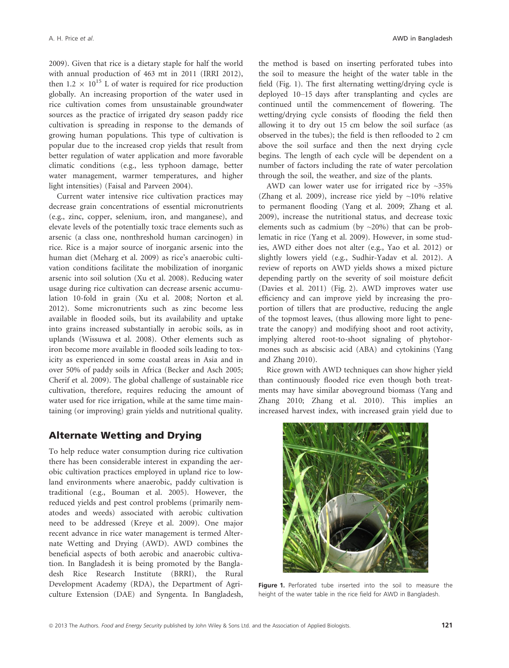2009). Given that rice is a dietary staple for half the world with annual production of 463 mt in 2011 (IRRI 2012), then  $1.2 \times 10^{15}$  L of water is required for rice production globally. An increasing proportion of the water used in rice cultivation comes from unsustainable groundwater sources as the practice of irrigated dry season paddy rice cultivation is spreading in response to the demands of growing human populations. This type of cultivation is popular due to the increased crop yields that result from better regulation of water application and more favorable climatic conditions (e.g., less typhoon damage, better water management, warmer temperatures, and higher light intensities) (Faisal and Parveen 2004).

Current water intensive rice cultivation practices may decrease grain concentrations of essential micronutrients (e.g., zinc, copper, selenium, iron, and manganese), and elevate levels of the potentially toxic trace elements such as arsenic (a class one, nonthreshold human carcinogen) in rice. Rice is a major source of inorganic arsenic into the human diet (Meharg et al. 2009) as rice's anaerobic cultivation conditions facilitate the mobilization of inorganic arsenic into soil solution (Xu et al. 2008). Reducing water usage during rice cultivation can decrease arsenic accumulation 10-fold in grain (Xu et al. 2008; Norton et al. 2012). Some micronutrients such as zinc become less available in flooded soils, but its availability and uptake into grains increased substantially in aerobic soils, as in uplands (Wissuwa et al. 2008). Other elements such as iron become more available in flooded soils leading to toxicity as experienced in some coastal areas in Asia and in over 50% of paddy soils in Africa (Becker and Asch 2005; Cherif et al. 2009). The global challenge of sustainable rice cultivation, therefore, requires reducing the amount of water used for rice irrigation, while at the same time maintaining (or improving) grain yields and nutritional quality.

# Alternate Wetting and Drying

To help reduce water consumption during rice cultivation there has been considerable interest in expanding the aerobic cultivation practices employed in upland rice to lowland environments where anaerobic, paddy cultivation is traditional (e.g., Bouman et al. 2005). However, the reduced yields and pest control problems (primarily nematodes and weeds) associated with aerobic cultivation need to be addressed (Kreye et al. 2009). One major recent advance in rice water management is termed Alternate Wetting and Drying (AWD). AWD combines the beneficial aspects of both aerobic and anaerobic cultivation. In Bangladesh it is being promoted by the Bangladesh Rice Research Institute (BRRI), the Rural Development Academy (RDA), the Department of Agriculture Extension (DAE) and Syngenta. In Bangladesh, the method is based on inserting perforated tubes into the soil to measure the height of the water table in the field (Fig. 1). The first alternating wetting/drying cycle is deployed 10–15 days after transplanting and cycles are continued until the commencement of flowering. The wetting/drying cycle consists of flooding the field then allowing it to dry out 15 cm below the soil surface (as observed in the tubes); the field is then reflooded to 2 cm above the soil surface and then the next drying cycle begins. The length of each cycle will be dependent on a number of factors including the rate of water percolation through the soil, the weather, and size of the plants.

AWD can lower water use for irrigated rice by ~35% (Zhang et al. 2009), increase rice yield by  $\sim$ 10% relative to permanent flooding (Yang et al. 2009; Zhang et al. 2009), increase the nutritional status, and decrease toxic elements such as cadmium (by  $\sim$ 20%) that can be problematic in rice (Yang et al. 2009). However, in some studies, AWD either does not alter (e.g., Yao et al. 2012) or slightly lowers yield (e.g., Sudhir-Yadav et al. 2012). A review of reports on AWD yields shows a mixed picture depending partly on the severity of soil moisture deficit (Davies et al. 2011) (Fig. 2). AWD improves water use efficiency and can improve yield by increasing the proportion of tillers that are productive, reducing the angle of the topmost leaves, (thus allowing more light to penetrate the canopy) and modifying shoot and root activity, implying altered root-to-shoot signaling of phytohormones such as abscisic acid (ABA) and cytokinins (Yang and Zhang 2010).

Rice grown with AWD techniques can show higher yield than continuously flooded rice even though both treatments may have similar aboveground biomass (Yang and Zhang 2010; Zhang et al. 2010). This implies an increased harvest index, with increased grain yield due to



Figure 1. Perforated tube inserted into the soil to measure the height of the water table in the rice field for AWD in Bangladesh.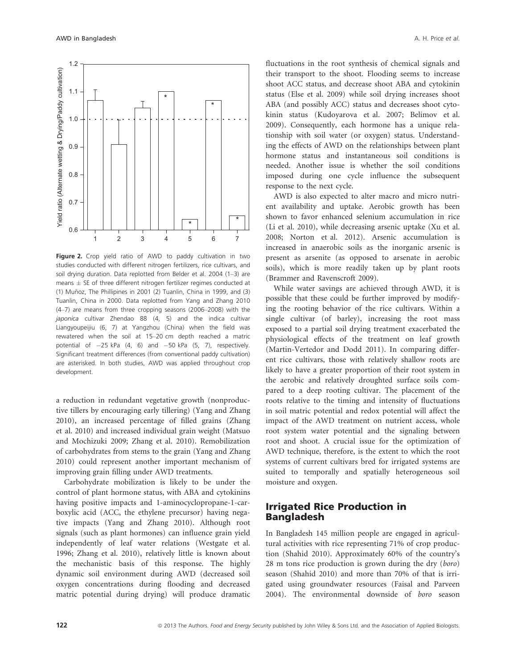



Figure 2. Crop yield ratio of AWD to paddy cultivation in two studies conducted with different nitrogen fertilizers, rice cultivars, and soil drying duration. Data replotted from Belder et al. 2004 (1–3) are means  $\pm$  SE of three different nitrogen fertilizer regimes conducted at (1) Muñoz, The Phillipines in 2001 (2) Tuanlin, China in 1999, and (3) Tuanlin, China in 2000. Data replotted from Yang and Zhang 2010 (4–7) are means from three cropping seasons (2006–2008) with the japonica cultivar Zhendao 88 (4, 5) and the indica cultivar Liangyoupeijiu (6, 7) at Yangzhou (China) when the field was rewatered when the soil at 15–20 cm depth reached a matric potential of  $-25$  kPa  $(4, 6)$  and  $-50$  kPa  $(5, 7)$ , respectively. Significant treatment differences (from conventional paddy cultivation) are asterisked. In both studies, AWD was applied throughout crop development.

a reduction in redundant vegetative growth (nonproductive tillers by encouraging early tillering) (Yang and Zhang 2010), an increased percentage of filled grains (Zhang et al. 2010) and increased individual grain weight (Matsuo and Mochizuki 2009; Zhang et al. 2010). Remobilization of carbohydrates from stems to the grain (Yang and Zhang 2010) could represent another important mechanism of improving grain filling under AWD treatments.

Carbohydrate mobilization is likely to be under the control of plant hormone status, with ABA and cytokinins having positive impacts and 1-aminocyclopropane-1-carboxylic acid (ACC, the ethylene precursor) having negative impacts (Yang and Zhang 2010). Although root signals (such as plant hormones) can influence grain yield independently of leaf water relations (Westgate et al. 1996; Zhang et al. 2010), relatively little is known about the mechanistic basis of this response. The highly dynamic soil environment during AWD (decreased soil oxygen concentrations during flooding and decreased matric potential during drying) will produce dramatic

fluctuations in the root synthesis of chemical signals and their transport to the shoot. Flooding seems to increase shoot ACC status, and decrease shoot ABA and cytokinin status (Else et al. 2009) while soil drying increases shoot ABA (and possibly ACC) status and decreases shoot cytokinin status (Kudoyarova et al. 2007; Belimov et al. 2009). Consequently, each hormone has a unique relationship with soil water (or oxygen) status. Understanding the effects of AWD on the relationships between plant hormone status and instantaneous soil conditions is needed. Another issue is whether the soil conditions imposed during one cycle influence the subsequent response to the next cycle.

AWD is also expected to alter macro and micro nutrient availability and uptake. Aerobic growth has been shown to favor enhanced selenium accumulation in rice (Li et al. 2010), while decreasing arsenic uptake (Xu et al. 2008; Norton et al. 2012). Arsenic accumulation is increased in anaerobic soils as the inorganic arsenic is present as arsenite (as opposed to arsenate in aerobic soils), which is more readily taken up by plant roots (Brammer and Ravenscroft 2009).

While water savings are achieved through AWD, it is possible that these could be further improved by modifying the rooting behavior of the rice cultivars. Within a single cultivar (of barley), increasing the root mass exposed to a partial soil drying treatment exacerbated the physiological effects of the treatment on leaf growth (Martin-Vertedor and Dodd 2011). In comparing different rice cultivars, those with relatively shallow roots are likely to have a greater proportion of their root system in the aerobic and relatively droughted surface soils compared to a deep rooting cultivar. The placement of the roots relative to the timing and intensity of fluctuations in soil matric potential and redox potential will affect the impact of the AWD treatment on nutrient access, whole root system water potential and the signaling between root and shoot. A crucial issue for the optimization of AWD technique, therefore, is the extent to which the root systems of current cultivars bred for irrigated systems are suited to temporally and spatially heterogeneous soil moisture and oxygen.

### Irrigated Rice Production in Bangladesh

In Bangladesh 145 million people are engaged in agricultural activities with rice representing 71% of crop production (Shahid 2010). Approximately 60% of the country's 28 m tons rice production is grown during the dry (boro) season (Shahid 2010) and more than 70% of that is irrigated using groundwater resources (Faisal and Parveen 2004). The environmental downside of boro season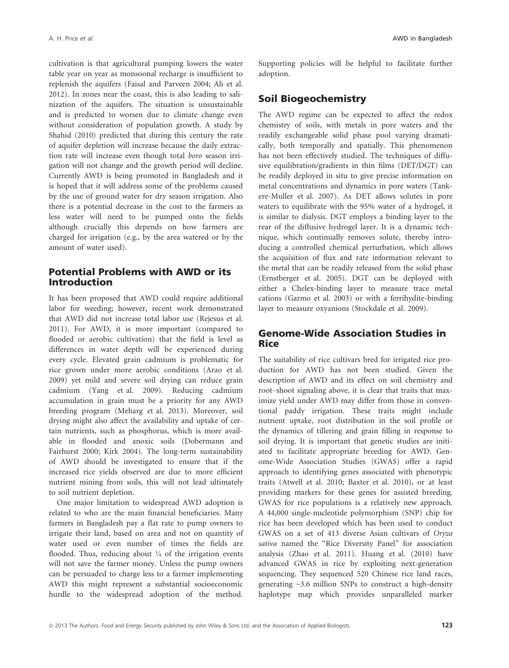cultivation is that agricultural pumping lowers the water table year on year as monsoonal recharge is insufficient to replenish the aquifers (Faisal and Parveen 2004; Ali et al. 2012). In zones near the coast, this is also leading to salinization of the aquifers. The situation is unsustainable and is predicted to worsen due to climate change even without consideration of population growth. A study by Shahid (2010) predicted that during this century the rate of aquifer depletion will increase because the daily extraction rate will increase even though total boro season irrigation will not change and the growth period will decline. Currently AWD is being promoted in Bangladesh and it is hoped that it will address some of the problems caused by the use of ground water for dry season irrigation. Also there is a potential decrease in the cost to the farmers as less water will need to be pumped onto the fields although crucially this depends on how farmers are charged for irrigation (e.g., by the area watered or by the amount of water used).

#### Potential Problems with AWD or its Introduction

It has been proposed that AWD could require additional labor for weeding; however, recent work demonstrated that AWD did not increase total labor use (Rejesus et al. 2011). For AWD, it is more important (compared to flooded or aerobic cultivation) that the field is level as differences in water depth will be experienced during every cycle. Elevated grain cadmium is problematic for rice grown under more aerobic conditions (Arao et al. 2009) yet mild and severe soil drying can reduce grain cadmium (Yang et al. 2009). Reducing cadmium accumulation in grain must be a priority for any AWD breeding program (Meharg et al. 2013). Moreover, soil drying might also affect the availability and uptake of certain nutrients, such as phosphorus, which is more available in flooded and anoxic soils (Dobermann and Fairhurst 2000; Kirk 2004). The long-term sustainability of AWD should be investigated to ensure that if the increased rice yields observed are due to more efficient nutrient mining from soils, this will not lead ultimately to soil nutrient depletion.

One major limitation to widespread AWD adoption is related to who are the main financial beneficiaries. Many farmers in Bangladesh pay a flat rate to pump owners to irrigate their land, based on area and not on quantity of water used or even number of times the fields are flooded. Thus, reducing about  $\frac{1}{4}$  of the irrigation events will not save the farmer money. Unless the pump owners can be persuaded to charge less to a farmer implementing AWD this might represent a substantial socioeconomic hurdle to the widespread adoption of the method. Supporting policies will be helpful to facilitate further adoption.

### Soil Biogeochemistry

The AWD regime can be expected to affect the redox chemistry of soils, with metals in pore waters and the readily exchangeable solid phase pool varying dramatically, both temporally and spatially. This phenomenon has not been effectively studied. The techniques of diffusive equilibration/gradients in thin films (DET/DGT) can be readily deployed in situ to give precise information on metal concentrations and dynamics in pore waters (Tankere-Muller et al. 2007). As DET allows solutes in pore waters to equilibrate with the 95% water of a hydrogel, it is similar to dialysis. DGT employs a binding layer to the rear of the diffusive hydrogel layer. It is a dynamic technique, which continually removes solute, thereby introducing a controlled chemical perturbation, which allows the acquisition of flux and rate information relevant to the metal that can be readily released from the solid phase (Ernstberger et al. 2005). DGT can be deployed with either a Chelex-binding layer to measure trace metal cations (Garmo et al. 2003) or with a ferrihydite-binding layer to measure oxyanions (Stockdale et al. 2009).

# Genome-Wide Association Studies in Rice

The suitability of rice cultivars bred for irrigated rice production for AWD has not been studied. Given the description of AWD and its effect on soil chemistry and root–shoot signaling above, it is clear that traits that maximize yield under AWD may differ from those in conventional paddy irrigation. These traits might include nutrient uptake, root distribution in the soil profile or the dynamics of tillering and grain filling in response to soil drying. It is important that genetic studies are initiated to facilitate appropriate breeding for AWD. Genome-Wide Association Studies (GWAS) offer a rapid approach to identifying genes associated with phenotypic traits (Atwell et al. 2010; Baxter et al. 2010), or at least providing markers for these genes for assisted breeding. GWAS for rice populations is a relatively new approach. A 44,000 single-nucleotide polymorphism (SNP) chip for rice has been developed which has been used to conduct GWAS on a set of 413 diverse Asian cultivars of Oryza sativa named the "Rice Diversity Panel" for association analysis (Zhao et al. 2011). Huang et al. (2010) have advanced GWAS in rice by exploiting next-generation sequencing. They sequenced 520 Chinese rice land races, generating ~3.6 million SNPs to construct a high-density haplotype map which provides unparalleled marker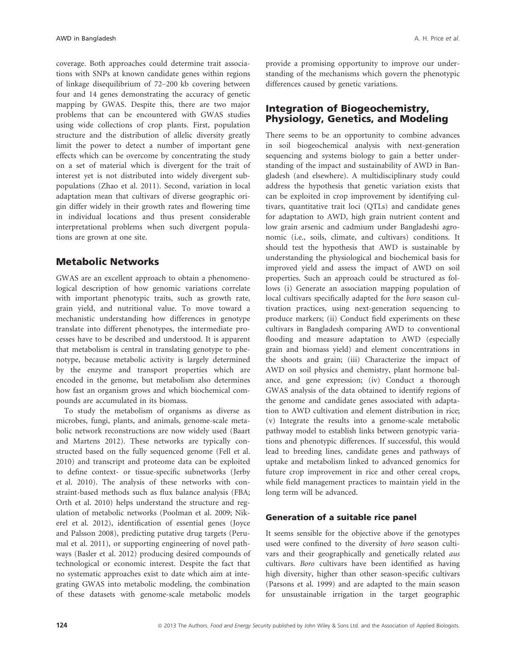coverage. Both approaches could determine trait associations with SNPs at known candidate genes within regions of linkage disequilibrium of 72–200 kb covering between four and 14 genes demonstrating the accuracy of genetic mapping by GWAS. Despite this, there are two major problems that can be encountered with GWAS studies using wide collections of crop plants. First, population structure and the distribution of allelic diversity greatly limit the power to detect a number of important gene effects which can be overcome by concentrating the study on a set of material which is divergent for the trait of interest yet is not distributed into widely divergent subpopulations (Zhao et al. 2011). Second, variation in local adaptation mean that cultivars of diverse geographic origin differ widely in their growth rates and flowering time in individual locations and thus present considerable interpretational problems when such divergent populations are grown at one site.

# Metabolic Networks

GWAS are an excellent approach to obtain a phenomenological description of how genomic variations correlate with important phenotypic traits, such as growth rate, grain yield, and nutritional value. To move toward a mechanistic understanding how differences in genotype translate into different phenotypes, the intermediate processes have to be described and understood. It is apparent that metabolism is central in translating genotype to phenotype, because metabolic activity is largely determined by the enzyme and transport properties which are encoded in the genome, but metabolism also determines how fast an organism grows and which biochemical compounds are accumulated in its biomass.

To study the metabolism of organisms as diverse as microbes, fungi, plants, and animals, genome-scale metabolic network reconstructions are now widely used (Baart and Martens 2012). These networks are typically constructed based on the fully sequenced genome (Fell et al. 2010) and transcript and proteome data can be exploited to define context- or tissue-specific subnetworks (Jerby et al. 2010). The analysis of these networks with constraint-based methods such as flux balance analysis (FBA; Orth et al. 2010) helps understand the structure and regulation of metabolic networks (Poolman et al. 2009; Nikerel et al. 2012), identification of essential genes (Joyce and Palsson 2008), predicting putative drug targets (Perumal et al. 2011), or supporting engineering of novel pathways (Basler et al. 2012) producing desired compounds of technological or economic interest. Despite the fact that no systematic approaches exist to date which aim at integrating GWAS into metabolic modeling, the combination of these datasets with genome-scale metabolic models provide a promising opportunity to improve our understanding of the mechanisms which govern the phenotypic differences caused by genetic variations.

# Integration of Biogeochemistry, Physiology, Genetics, and Modeling

There seems to be an opportunity to combine advances in soil biogeochemical analysis with next-generation sequencing and systems biology to gain a better understanding of the impact and sustainability of AWD in Bangladesh (and elsewhere). A multidisciplinary study could address the hypothesis that genetic variation exists that can be exploited in crop improvement by identifying cultivars, quantitative trait loci (QTLs) and candidate genes for adaptation to AWD, high grain nutrient content and low grain arsenic and cadmium under Bangladeshi agronomic (i.e., soils, climate, and cultivars) conditions. It should test the hypothesis that AWD is sustainable by understanding the physiological and biochemical basis for improved yield and assess the impact of AWD on soil properties. Such an approach could be structured as follows (i) Generate an association mapping population of local cultivars specifically adapted for the boro season cultivation practices, using next-generation sequencing to produce markers; (ii) Conduct field experiments on these cultivars in Bangladesh comparing AWD to conventional flooding and measure adaptation to AWD (especially grain and biomass yield) and element concentrations in the shoots and grain; (iii) Characterize the impact of AWD on soil physics and chemistry, plant hormone balance, and gene expression; (iv) Conduct a thorough GWAS analysis of the data obtained to identify regions of the genome and candidate genes associated with adaptation to AWD cultivation and element distribution in rice; (v) Integrate the results into a genome-scale metabolic pathway model to establish links between genotypic variations and phenotypic differences. If successful, this would lead to breeding lines, candidate genes and pathways of uptake and metabolism linked to advanced genomics for future crop improvement in rice and other cereal crops, while field management practices to maintain yield in the long term will be advanced.

#### Generation of a suitable rice panel

It seems sensible for the objective above if the genotypes used were confined to the diversity of boro season cultivars and their geographically and genetically related aus cultivars. Boro cultivars have been identified as having high diversity, higher than other season-specific cultivars (Parsons et al. 1999) and are adapted to the main season for unsustainable irrigation in the target geographic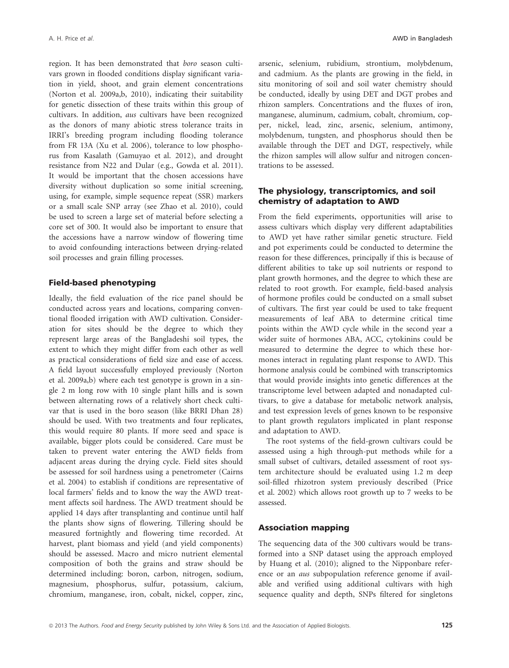region. It has been demonstrated that boro season cultivars grown in flooded conditions display significant variation in yield, shoot, and grain element concentrations (Norton et al. 2009a,b, 2010), indicating their suitability for genetic dissection of these traits within this group of cultivars. In addition, aus cultivars have been recognized as the donors of many abiotic stress tolerance traits in IRRI's breeding program including flooding tolerance from FR 13A (Xu et al. 2006), tolerance to low phosphorus from Kasalath (Gamuyao et al. 2012), and drought resistance from N22 and Dular (e.g., Gowda et al. 2011). It would be important that the chosen accessions have diversity without duplication so some initial screening, using, for example, simple sequence repeat (SSR) markers or a small scale SNP array (see Zhao et al. 2010), could be used to screen a large set of material before selecting a core set of 300. It would also be important to ensure that the accessions have a narrow window of flowering time to avoid confounding interactions between drying-related soil processes and grain filling processes.

#### Field-based phenotyping

Ideally, the field evaluation of the rice panel should be conducted across years and locations, comparing conventional flooded irrigation with AWD cultivation. Consideration for sites should be the degree to which they represent large areas of the Bangladeshi soil types, the extent to which they might differ from each other as well as practical considerations of field size and ease of access. A field layout successfully employed previously (Norton et al. 2009a,b) where each test genotype is grown in a single 2 m long row with 10 single plant hills and is sown between alternating rows of a relatively short check cultivar that is used in the boro season (like BRRI Dhan 28) should be used. With two treatments and four replicates, this would require 80 plants. If more seed and space is available, bigger plots could be considered. Care must be taken to prevent water entering the AWD fields from adjacent areas during the drying cycle. Field sites should be assessed for soil hardness using a penetrometer (Cairns et al. 2004) to establish if conditions are representative of local farmers' fields and to know the way the AWD treatment affects soil hardness. The AWD treatment should be applied 14 days after transplanting and continue until half the plants show signs of flowering. Tillering should be measured fortnightly and flowering time recorded. At harvest, plant biomass and yield (and yield components) should be assessed. Macro and micro nutrient elemental composition of both the grains and straw should be determined including: boron, carbon, nitrogen, sodium, magnesium, phosphorus, sulfur, potassium, calcium, chromium, manganese, iron, cobalt, nickel, copper, zinc, arsenic, selenium, rubidium, strontium, molybdenum, and cadmium. As the plants are growing in the field, in situ monitoring of soil and soil water chemistry should be conducted, ideally by using DET and DGT probes and rhizon samplers. Concentrations and the fluxes of iron, manganese, aluminum, cadmium, cobalt, chromium, copper, nickel, lead, zinc, arsenic, selenium, antimony, molybdenum, tungsten, and phosphorus should then be available through the DET and DGT, respectively, while the rhizon samples will allow sulfur and nitrogen concentrations to be assessed.

#### The physiology, transcriptomics, and soil chemistry of adaptation to AWD

From the field experiments, opportunities will arise to assess cultivars which display very different adaptabilities to AWD yet have rather similar genetic structure. Field and pot experiments could be conducted to determine the reason for these differences, principally if this is because of different abilities to take up soil nutrients or respond to plant growth hormones, and the degree to which these are related to root growth. For example, field-based analysis of hormone profiles could be conducted on a small subset of cultivars. The first year could be used to take frequent measurements of leaf ABA to determine critical time points within the AWD cycle while in the second year a wider suite of hormones ABA, ACC, cytokinins could be measured to determine the degree to which these hormones interact in regulating plant response to AWD. This hormone analysis could be combined with transcriptomics that would provide insights into genetic differences at the transcriptome level between adapted and nonadapted cultivars, to give a database for metabolic network analysis, and test expression levels of genes known to be responsive to plant growth regulators implicated in plant response and adaptation to AWD.

The root systems of the field-grown cultivars could be assessed using a high through-put methods while for a small subset of cultivars, detailed assessment of root system architecture should be evaluated using 1.2 m deep soil-filled rhizotron system previously described (Price et al. 2002) which allows root growth up to 7 weeks to be assessed.

#### Association mapping

The sequencing data of the 300 cultivars would be transformed into a SNP dataset using the approach employed by Huang et al. (2010); aligned to the Nipponbare reference or an aus subpopulation reference genome if available and verified using additional cultivars with high sequence quality and depth, SNPs filtered for singletons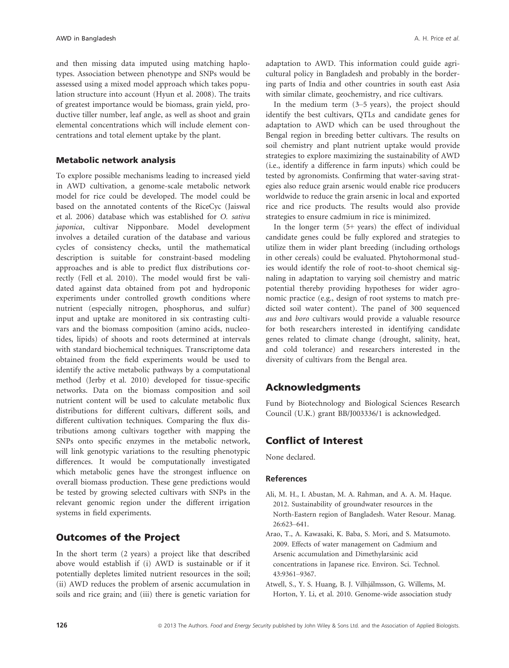and then missing data imputed using matching haplotypes. Association between phenotype and SNPs would be assessed using a mixed model approach which takes population structure into account (Hyun et al. 2008). The traits of greatest importance would be biomass, grain yield, productive tiller number, leaf angle, as well as shoot and grain elemental concentrations which will include element concentrations and total element uptake by the plant.

#### Metabolic network analysis

To explore possible mechanisms leading to increased yield in AWD cultivation, a genome-scale metabolic network model for rice could be developed. The model could be based on the annotated contents of the RiceCyc (Jaiswal et al. 2006) database which was established for O. sativa japonica, cultivar Nipponbare. Model development involves a detailed curation of the database and various cycles of consistency checks, until the mathematical description is suitable for constraint-based modeling approaches and is able to predict flux distributions correctly (Fell et al. 2010). The model would first be validated against data obtained from pot and hydroponic experiments under controlled growth conditions where nutrient (especially nitrogen, phosphorus, and sulfur) input and uptake are monitored in six contrasting cultivars and the biomass composition (amino acids, nucleotides, lipids) of shoots and roots determined at intervals with standard biochemical techniques. Transcriptome data obtained from the field experiments would be used to identify the active metabolic pathways by a computational method (Jerby et al. 2010) developed for tissue-specific networks. Data on the biomass composition and soil nutrient content will be used to calculate metabolic flux distributions for different cultivars, different soils, and different cultivation techniques. Comparing the flux distributions among cultivars together with mapping the SNPs onto specific enzymes in the metabolic network, will link genotypic variations to the resulting phenotypic differences. It would be computationally investigated which metabolic genes have the strongest influence on overall biomass production. These gene predictions would be tested by growing selected cultivars with SNPs in the relevant genomic region under the different irrigation systems in field experiments.

# Outcomes of the Project

In the short term (2 years) a project like that described above would establish if (i) AWD is sustainable or if it potentially depletes limited nutrient resources in the soil; (ii) AWD reduces the problem of arsenic accumulation in soils and rice grain; and (iii) there is genetic variation for

adaptation to AWD. This information could guide agricultural policy in Bangladesh and probably in the bordering parts of India and other countries in south east Asia with similar climate, geochemistry, and rice cultivars.

In the medium term (3–5 years), the project should identify the best cultivars, QTLs and candidate genes for adaptation to AWD which can be used throughout the Bengal region in breeding better cultivars. The results on soil chemistry and plant nutrient uptake would provide strategies to explore maximizing the sustainability of AWD (i.e., identify a difference in farm inputs) which could be tested by agronomists. Confirming that water-saving strategies also reduce grain arsenic would enable rice producers worldwide to reduce the grain arsenic in local and exported rice and rice products. The results would also provide strategies to ensure cadmium in rice is minimized.

In the longer term  $(5+)$  years) the effect of individual candidate genes could be fully explored and strategies to utilize them in wider plant breeding (including orthologs in other cereals) could be evaluated. Phytohormonal studies would identify the role of root-to-shoot chemical signaling in adaptation to varying soil chemistry and matric potential thereby providing hypotheses for wider agronomic practice (e.g., design of root systems to match predicted soil water content). The panel of 300 sequenced aus and boro cultivars would provide a valuable resource for both researchers interested in identifying candidate genes related to climate change (drought, salinity, heat, and cold tolerance) and researchers interested in the diversity of cultivars from the Bengal area.

# Acknowledgments

Fund by Biotechnology and Biological Sciences Research Council (U.K.) grant BB/J003336/1 is acknowledged.

# Conflict of Interest

None declared.

#### References

- Ali, M. H., I. Abustan, M. A. Rahman, and A. A. M. Haque. 2012. Sustainability of groundwater resources in the North-Eastern region of Bangladesh. Water Resour. Manag. 26:623–641.
- Arao, T., A. Kawasaki, K. Baba, S. Mori, and S. Matsumoto. 2009. Effects of water management on Cadmium and Arsenic accumulation and Dimethylarsinic acid concentrations in Japanese rice. Environ. Sci. Technol. 43:9361–9367.
- Atwell, S., Y. S. Huang, B. J. Vilhjálmsson, G. Willems, M. Horton, Y. Li, et al. 2010. Genome-wide association study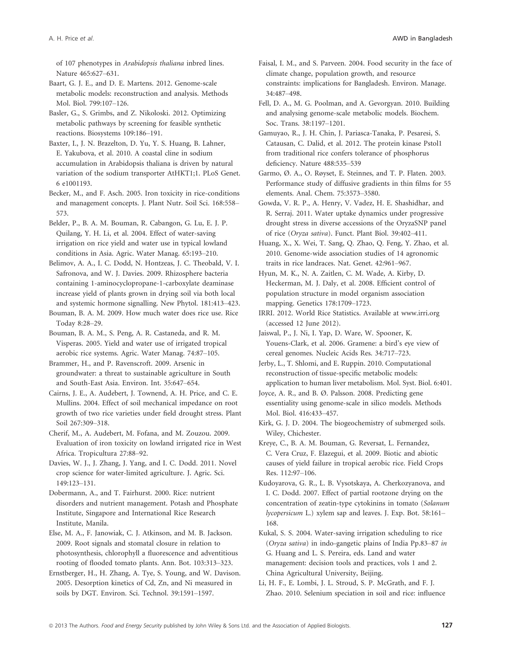of 107 phenotypes in Arabidopsis thaliana inbred lines. Nature 465:627–631.

Baart, G. J. E., and D. E. Martens. 2012. Genome-scale metabolic models: reconstruction and analysis. Methods Mol. Biol. 799:107–126.

Basler, G., S. Grimbs, and Z. Nikoloski. 2012. Optimizing metabolic pathways by screening for feasible synthetic reactions. Biosystems 109:186–191.

Baxter, I., J. N. Brazelton, D. Yu, Y. S. Huang, B. Lahner, E. Yakubova, et al. 2010. A coastal cline in sodium accumulation in Arabidopsis thaliana is driven by natural variation of the sodium transporter AtHKT1;1. PLoS Genet. 6 e1001193.

Becker, M., and F. Asch. 2005. Iron toxicity in rice-conditions and management concepts. J. Plant Nutr. Soil Sci. 168:558– 573.

Belder, P., B. A. M. Bouman, R. Cabangon, G. Lu, E. J. P. Quilang, Y. H. Li, et al. 2004. Effect of water-saving irrigation on rice yield and water use in typical lowland conditions in Asia. Agric. Water Manag. 65:193–210.

Belimov, A. A., I. C. Dodd, N. Hontzeas, J. C. Theobald, V. I. Safronova, and W. J. Davies. 2009. Rhizosphere bacteria containing 1-aminocyclopropane-1-carboxylate deaminase increase yield of plants grown in drying soil via both local and systemic hormone signalling. New Phytol. 181:413–423.

Bouman, B. A. M. 2009. How much water does rice use. Rice Today 8:28–29.

Bouman, B. A. M., S. Peng, A. R. Castaneda, and R. M. Visperas. 2005. Yield and water use of irrigated tropical aerobic rice systems. Agric. Water Manag. 74:87–105.

Brammer, H., and P. Ravenscroft. 2009. Arsenic in groundwater: a threat to sustainable agriculture in South and South-East Asia. Environ. Int. 35:647–654.

Cairns, J. E., A. Audebert, J. Townend, A. H. Price, and C. E. Mullins. 2004. Effect of soil mechanical impedance on root growth of two rice varieties under field drought stress. Plant Soil 267:309–318.

Cherif, M., A. Audebert, M. Fofana, and M. Zouzou. 2009. Evaluation of iron toxicity on lowland irrigated rice in West Africa. Tropicultura 27:88–92.

Davies, W. J., J. Zhang, J. Yang, and I. C. Dodd. 2011. Novel crop science for water-limited agriculture. J. Agric. Sci. 149:123–131.

Dobermann, A., and T. Fairhurst. 2000. Rice: nutrient disorders and nutrient management. Potash and Phosphate Institute, Singapore and International Rice Research Institute, Manila.

Else, M. A., F. Janowiak, C. J. Atkinson, and M. B. Jackson. 2009. Root signals and stomatal closure in relation to photosynthesis, chlorophyll a fluorescence and adventitious rooting of flooded tomato plants. Ann. Bot. 103:313–323.

Ernstberger, H., H. Zhang, A. Tye, S. Young, and W. Davison. 2005. Desorption kinetics of Cd, Zn, and Ni measured in soils by DGT. Environ. Sci. Technol. 39:1591–1597.

Faisal, I. M., and S. Parveen. 2004. Food security in the face of climate change, population growth, and resource constraints: implications for Bangladesh. Environ. Manage. 34:487–498.

Fell, D. A., M. G. Poolman, and A. Gevorgyan. 2010. Building and analysing genome-scale metabolic models. Biochem. Soc. Trans. 38:1197–1201.

Gamuyao, R., J. H. Chin, J. Pariasca-Tanaka, P. Pesaresi, S. Catausan, C. Dalid, et al. 2012. The protein kinase Pstol1 from traditional rice confers tolerance of phosphorus deficiency. Nature 488:535–539

Garmo, Ø. A., O. Røyset, E. Steinnes, and T. P. Flaten. 2003. Performance study of diffusive gradients in thin films for 55 elements. Anal. Chem. 75:3573–3580.

Gowda, V. R. P., A. Henry, V. Vadez, H. E. Shashidhar, and R. Serraj. 2011. Water uptake dynamics under progressive drought stress in diverse accessions of the OryzaSNP panel of rice (Oryza sativa). Funct. Plant Biol. 39:402–411.

Huang, X., X. Wei, T. Sang, Q. Zhao, Q. Feng, Y. Zhao, et al. 2010. Genome-wide association studies of 14 agronomic traits in rice landraces. Nat. Genet. 42:961–967.

Hyun, M. K., N. A. Zaitlen, C. M. Wade, A. Kirby, D. Heckerman, M. J. Daly, et al. 2008. Efficient control of population structure in model organism association mapping. Genetics 178:1709–1723.

IRRI. 2012. World Rice Statistics. Available at www.irri.org (accessed 12 June 2012).

Jaiswal, P., J. Ni, I. Yap, D. Ware, W. Spooner, K. Youens-Clark, et al. 2006. Gramene: a bird's eye view of cereal genomes. Nucleic Acids Res. 34:717–723.

Jerby, L., T. Shlomi, and E. Ruppin. 2010. Computational reconstruction of tissue-specific metabolic models: application to human liver metabolism. Mol. Syst. Biol. 6:401.

Joyce, A. R., and B. Ø. Palsson. 2008. Predicting gene essentiality using genome-scale in silico models. Methods Mol. Biol. 416:433–457.

Kirk, G. J. D. 2004. The biogeochemistry of submerged soils. Wiley, Chichester.

Kreye, C., B. A. M. Bouman, G. Reversat, L. Fernandez, C. Vera Cruz, F. Elazegui, et al. 2009. Biotic and abiotic causes of yield failure in tropical aerobic rice. Field Crops Res. 112:97–106.

Kudoyarova, G. R., L. B. Vysotskaya, A. Cherkozyanova, and I. C. Dodd. 2007. Effect of partial rootzone drying on the concentration of zeatin-type cytokinins in tomato (Solanum lycopersicum L.) xylem sap and leaves. J. Exp. Bot. 58:161– 168.

Kukal, S. S. 2004. Water-saving irrigation scheduling to rice (Oryza sativa) in indo-gangetic plains of India Pp.83–87 in G. Huang and L. S. Pereira, eds. Land and water management: decision tools and practices, vols 1 and 2. China Agricultural University, Beijing.

Li, H. F., E. Lombi, J. L. Stroud, S. P. McGrath, and F. J. Zhao. 2010. Selenium speciation in soil and rice: influence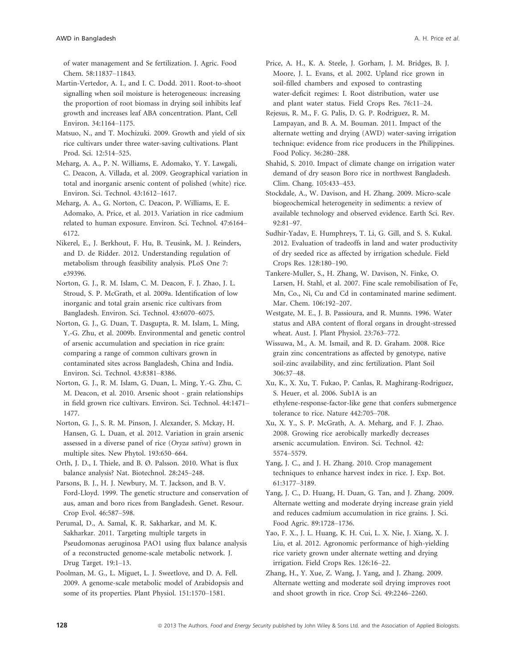of water management and Se fertilization. J. Agric. Food Chem. 58:11837–11843.

Martin-Vertedor, A. I., and I. C. Dodd. 2011. Root-to-shoot signalling when soil moisture is heterogeneous: increasing the proportion of root biomass in drying soil inhibits leaf growth and increases leaf ABA concentration. Plant, Cell Environ. 34:1164–1175.

Matsuo, N., and T. Mochizuki. 2009. Growth and yield of six rice cultivars under three water-saving cultivations. Plant Prod. Sci. 12:514–525.

Meharg, A. A., P. N. Williams, E. Adomako, Y. Y. Lawgali, C. Deacon, A. Villada, et al. 2009. Geographical variation in total and inorganic arsenic content of polished (white) rice. Environ. Sci. Technol. 43:1612–1617.

Meharg, A. A., G. Norton, C. Deacon, P. Williams, E. E. Adomako, A. Price, et al. 2013. Variation in rice cadmium related to human exposure. Environ. Sci. Technol. 47:6164– 6172.

Nikerel, E., J. Berkhout, F. Hu, B. Teusink, M. J. Reinders, and D. de Ridder. 2012. Understanding regulation of metabolism through feasibility analysis. PLoS One 7: e39396.

Norton, G. J., R. M. Islam, C. M. Deacon, F. J. Zhao, J. L. Stroud, S. P. McGrath, et al. 2009a. Identification of low inorganic and total grain arsenic rice cultivars from Bangladesh. Environ. Sci. Technol. 43:6070–6075.

Norton, G. J., G. Duan, T. Dasgupta, R. M. Islam, L. Ming, Y.-G. Zhu, et al. 2009b. Environmental and genetic control of arsenic accumulation and speciation in rice grain: comparing a range of common cultivars grown in contaminated sites across Bangladesh, China and India. Environ. Sci. Technol. 43:8381–8386.

Norton, G. J., R. M. Islam, G. Duan, L. Ming, Y.-G. Zhu, C. M. Deacon, et al. 2010. Arsenic shoot - grain relationships in field grown rice cultivars. Environ. Sci. Technol. 44:1471– 1477.

Norton, G. J., S. R. M. Pinson, J. Alexander, S. Mckay, H. Hansen, G. L. Duan, et al. 2012. Variation in grain arsenic assessed in a diverse panel of rice (Oryza sativa) grown in multiple sites. New Phytol. 193:650–664.

Orth, J. D., I. Thiele, and B. Ø. Palsson. 2010. What is flux balance analysis? Nat. Biotechnol. 28:245–248.

Parsons, B. J., H. J. Newbury, M. T. Jackson, and B. V. Ford-Lloyd. 1999. The genetic structure and conservation of aus, aman and boro rices from Bangladesh. Genet. Resour. Crop Evol. 46:587–598.

Perumal, D., A. Samal, K. R. Sakharkar, and M. K. Sakharkar. 2011. Targeting multiple targets in Pseudomonas aeruginosa PAO1 using flux balance analysis of a reconstructed genome-scale metabolic network. J. Drug Target. 19:1–13.

Poolman, M. G., L. Miguet, L. J. Sweetlove, and D. A. Fell. 2009. A genome-scale metabolic model of Arabidopsis and some of its properties. Plant Physiol. 151:1570–1581.

Price, A. H., K. A. Steele, J. Gorham, J. M. Bridges, B. J. Moore, J. L. Evans, et al. 2002. Upland rice grown in soil-filled chambers and exposed to contrasting water-deficit regimes: I. Root distribution, water use and plant water status. Field Crops Res. 76:11–24.

Rejesus, R. M., F. G. Palis, D. G. P. Rodriguez, R. M. Lampayan, and B. A. M. Bouman. 2011. Impact of the alternate wetting and drying (AWD) water-saving irrigation technique: evidence from rice producers in the Philippines. Food Policy. 36:280–288.

Shahid, S. 2010. Impact of climate change on irrigation water demand of dry season Boro rice in northwest Bangladesh. Clim. Chang. 105:433–453.

Stockdale, A., W. Davison, and H. Zhang. 2009. Micro-scale biogeochemical heterogeneity in sediments: a review of available technology and observed evidence. Earth Sci. Rev. 92:81–97.

Sudhir-Yadav, E. Humphreys, T. Li, G. Gill, and S. S. Kukal. 2012. Evaluation of tradeoffs in land and water productivity of dry seeded rice as affected by irrigation schedule. Field Crops Res. 128:180–190.

Tankere-Muller, S., H. Zhang, W. Davison, N. Finke, O. Larsen, H. Stahl, et al. 2007. Fine scale remobilisation of Fe, Mn, Co., Ni, Cu and Cd in contaminated marine sediment. Mar. Chem. 106:192–207.

Westgate, M. E., J. B. Passioura, and R. Munns. 1996. Water status and ABA content of floral organs in drought-stressed wheat. Aust. J. Plant Physiol. 23:763–772.

Wissuwa, M., A. M. Ismail, and R. D. Graham. 2008. Rice grain zinc concentrations as affected by genotype, native soil-zinc availability, and zinc fertilization. Plant Soil 306:37–48.

Xu, K., X. Xu, T. Fukao, P. Canlas, R. Maghirang-Rodriguez, S. Heuer, et al. 2006. Sub1A is an ethylene-response-factor-like gene that confers submergence tolerance to rice. Nature 442:705–708.

Xu, X. Y., S. P. McGrath, A. A. Meharg, and F. J. Zhao. 2008. Growing rice aerobically markedly decreases arsenic accumulation. Environ. Sci. Technol. 42: 5574–5579.

Yang, J. C., and J. H. Zhang. 2010. Crop management techniques to enhance harvest index in rice. J. Exp. Bot. 61:3177–3189.

Yang, J. C., D. Huang, H. Duan, G. Tan, and J. Zhang. 2009. Alternate wetting and moderate drying increase grain yield and reduces cadmium accumulation in rice grains. J. Sci. Food Agric. 89:1728–1736.

Yao, F. X., J. L. Huang, K. H. Cui, L. X. Nie, J. Xiang, X. J. Liu, et al. 2012. Agronomic performance of high-yielding rice variety grown under alternate wetting and drying irrigation. Field Crops Res. 126:16–22.

Zhang, H., Y. Xue, Z. Wang, J. Yang, and J. Zhang. 2009. Alternate wetting and moderate soil drying improves root and shoot growth in rice. Crop Sci. 49:2246–2260.